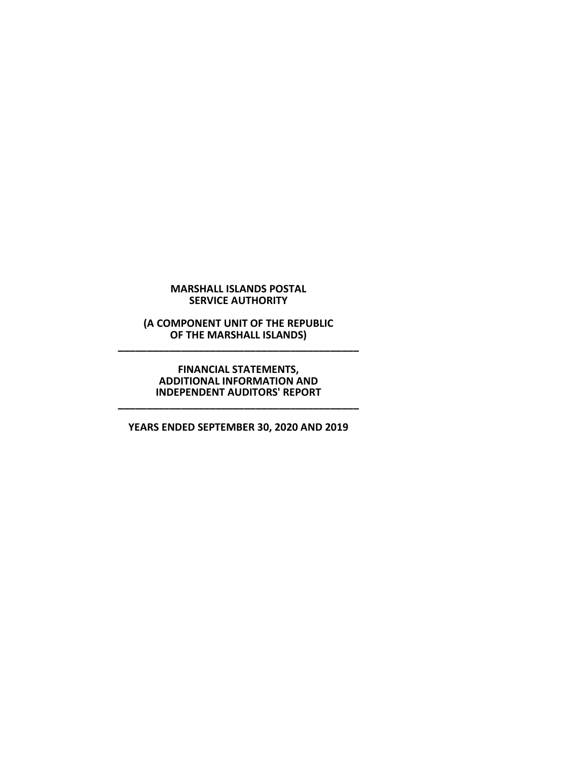**(A COMPONENT UNIT OF THE REPUBLIC OF THE MARSHALL ISLANDS) \_\_\_\_\_\_\_\_\_\_\_\_\_\_\_\_\_\_\_\_\_\_\_\_\_\_\_\_\_\_\_\_\_\_\_\_\_\_\_\_\_\_**

## **FINANCIAL STATEMENTS, ADDITIONAL INFORMATION AND INDEPENDENT AUDITORS' REPORT**

**\_\_\_\_\_\_\_\_\_\_\_\_\_\_\_\_\_\_\_\_\_\_\_\_\_\_\_\_\_\_\_\_\_\_\_\_\_\_\_\_\_\_**

**YEARS ENDED SEPTEMBER 30, 2020 AND 2019**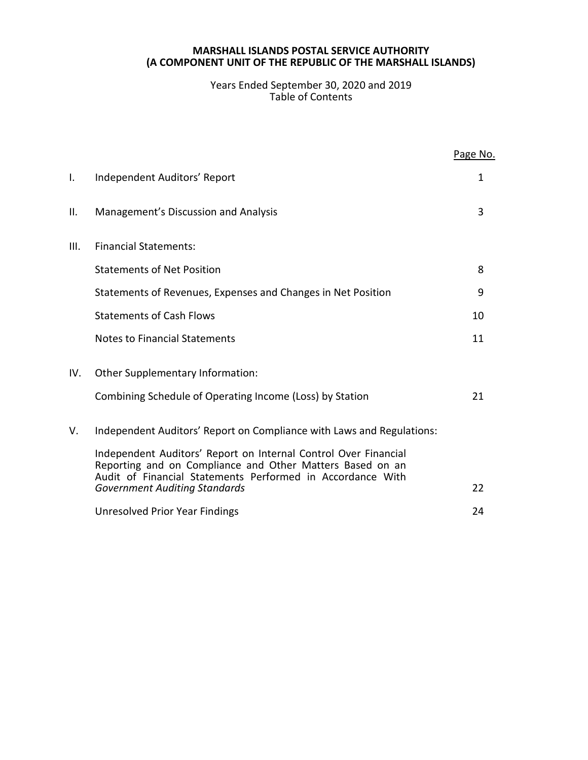# **MARSHALL ISLANDS POSTAL SERVICE AUTHORITY (A COMPONENT UNIT OF THE REPUBLIC OF THE MARSHALL ISLANDS)**

# Years Ended September 30, 2020 and 2019 Table of Contents

|      |                                                                                                                                                                                            | Page No. |
|------|--------------------------------------------------------------------------------------------------------------------------------------------------------------------------------------------|----------|
| Ι.   | Independent Auditors' Report                                                                                                                                                               | 1        |
| II.  | Management's Discussion and Analysis                                                                                                                                                       | 3        |
| III. | <b>Financial Statements:</b>                                                                                                                                                               |          |
|      | <b>Statements of Net Position</b>                                                                                                                                                          | 8        |
|      | Statements of Revenues, Expenses and Changes in Net Position                                                                                                                               | 9        |
|      | <b>Statements of Cash Flows</b>                                                                                                                                                            | 10       |
|      | Notes to Financial Statements                                                                                                                                                              | 11       |
| IV.  | Other Supplementary Information:                                                                                                                                                           |          |
|      | Combining Schedule of Operating Income (Loss) by Station                                                                                                                                   | 21       |
| V.   | Independent Auditors' Report on Compliance with Laws and Regulations:                                                                                                                      |          |
|      | Independent Auditors' Report on Internal Control Over Financial<br>Reporting and on Compliance and Other Matters Based on an<br>Audit of Financial Statements Performed in Accordance With |          |
|      | <b>Government Auditing Standards</b>                                                                                                                                                       | 22       |
|      | Unresolved Prior Year Findings                                                                                                                                                             | 24       |
|      |                                                                                                                                                                                            |          |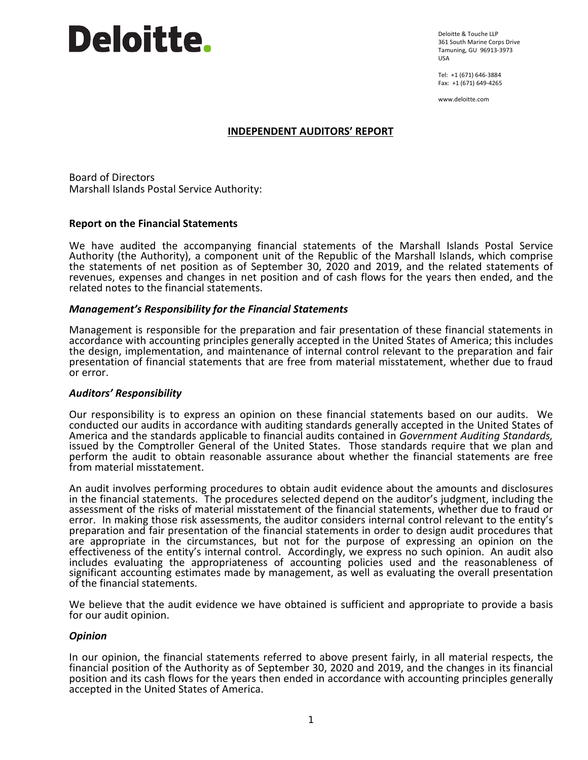# **Deloitte.**

Deloitte & Touche LLP 361 South Marine Corps Drive Tamuning, GU 96913-3973 USA

Tel: +1 (671) 646-3884 Fax: +1 (671) 649-4265

www.deloitte.com

# **INDEPENDENT AUDITORS' REPORT**

Board of Directors Marshall Islands Postal Service Authority:

# **Report on the Financial Statements**

We have audited the accompanying financial statements of the Marshall Islands Postal Service Authority (the Authority), a component unit of the Republic of the Marshall Islands, which comprise the statements of net position as of September 30, 2020 and 2019, and the related statements of revenues, expenses and changes in net position and of cash flows for the years then ended, and the related notes to the financial statements.

# *Management's Responsibility for the Financial Statements*

Management is responsible for the preparation and fair presentation of these financial statements in accordance with accounting principles generally accepted in the United States of America; this includes the design, implementation, and maintenance of internal control relevant to the preparation and fair presentation of financial statements that are free from material misstatement, whether due to fraud or error.

# *Auditors' Responsibility*

Our responsibility is to express an opinion on these financial statements based on our audits. We conducted our audits in accordance with auditing standards generally accepted in the United States of America and the standards applicable to financial audits contained in *Government Auditing Standards,* issued by the Comptroller General of the United States. Those standards require that we plan and perform the audit to obtain reasonable assurance about whether the financial statements are free from material misstatement.

An audit involves performing procedures to obtain audit evidence about the amounts and disclosures in the financial statements. The procedures selected depend on the auditor's judgment, including the assessment of the risks of material misstatement of the financial statements, whether due to fraud or error. In making those risk assessments, the auditor considers internal control relevant to the entity's preparation and fair presentation of the financial statements in order to design audit procedures that are appropriate in the circumstances, but not for the purpose of expressing an opinion on the effectiveness of the entity's internal control. Accordingly, we express no such opinion. An audit also includes evaluating the appropriateness of accounting policies used and the reasonableness of significant accounting estimates made by management, as well as evaluating the overall presentation of the financial statements.

We believe that the audit evidence we have obtained is sufficient and appropriate to provide a basis for our audit opinion.

# *Opinion*

In our opinion, the financial statements referred to above present fairly, in all material respects, the financial position of the Authority as of September 30, 2020 and 2019, and the changes in its financial position and its cash flows for the years then ended in accordance with accounting principles generally accepted in the United States of America.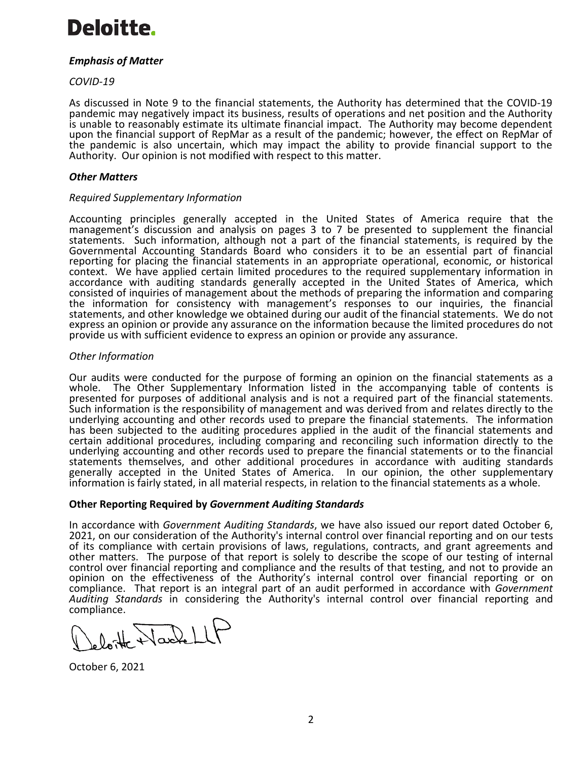

# *Emphasis of Matter*

*COVID-19*

As discussed in Note 9 to the financial statements, the Authority has determined that the COVID-19 pandemic may negatively impact its business, results of operations and net position and the Authority is unable to reasonably estimate its ultimate financial impact. The Authority may become dependent upon the financial support of RepMar as a result of the pandemic; however, the effect on RepMar of the pandemic is also uncertain, which may impact the ability to provide financial support to the Authority. Our opinion is not modified with respect to this matter.

# *Other Matters*

# *Required Supplementary Information*

Accounting principles generally accepted in the United States of America require that the management's discussion and analysis on pages 3 to 7 be presented to supplement the financial statements. Such information, although not a part of the financial statements, is required by the Governmental Accounting Standards Board who considers it to be an essential part of financial reporting for placing the financial statements in an appropriate operational, economic, or historical context. We have applied certain limited procedures to the required supplementary information in accordance with auditing standards generally accepted in the United States of America, which consisted of inquiries of management about the methods of preparing the information and comparing the information for consistency with management's responses to our inquiries, the financial statements, and other knowledge we obtained during our audit of the financial statements. We do not express an opinion or provide any assurance on the information because the limited procedures do not provide us with sufficient evidence to express an opinion or provide any assurance.

# *Other Information*

Our audits were conducted for the purpose of forming an opinion on the financial statements as a whole. The Other Supplementary Information listed in the accompanying table of contents is presented for purposes of additional analysis and is not a required part of the financial statements. Such information is the responsibility of management and was derived from and relates directly to the underlying accounting and other records used to prepare the financial statements. The information has been subjected to the auditing procedures applied in the audit of the financial statements and certain additional procedures, including comparing and reconciling such information directly to the underlying accounting and other records used to prepare the financial statements or to the financial statements themselves, and other additional procedures in accordance with auditing standards generally accepted in the United States of America. In our opinion, the other supplementary information is fairly stated, in all material respects, in relation to the financial statements as a whole.

# **Other Reporting Required by** *Government Auditing Standards*

In accordance with *Government Auditing Standards*, we have also issued our report dated October 6, 2021, on our consideration of the Authority's internal control over financial reporting and on our tests of its compliance with certain provisions of laws, regulations, contracts, and grant agreements and other matters. The purpose of that report is solely to describe the scope of our testing of internal control over financial reporting and compliance and the results of that testing, and not to provide an opinion on the effectiveness of the Authority's internal control over financial reporting or on compliance. That report is an integral part of an audit performed in accordance with *Government Auditing Standards* in considering the Authority's internal control over financial reporting and compliance.

loite Naskell

October 6, 2021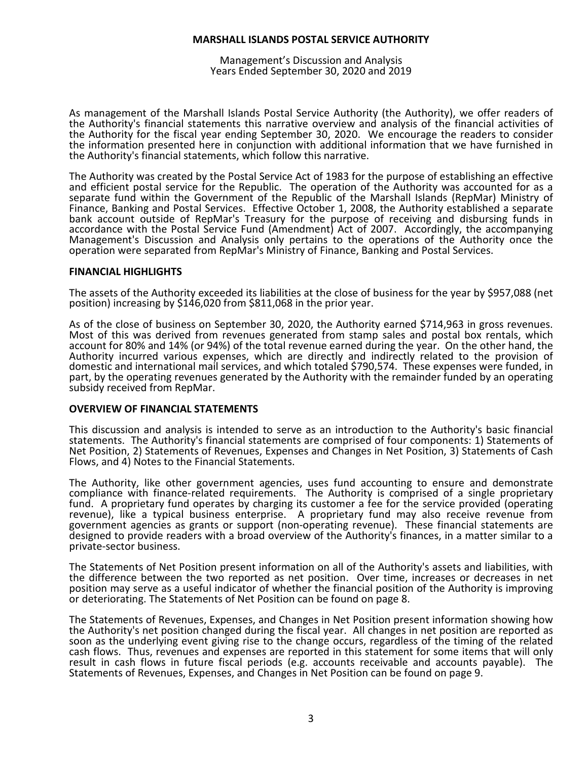Management's Discussion and Analysis Years Ended September 30, 2020 and 2019

As management of the Marshall Islands Postal Service Authority (the Authority), we offer readers of the Authority's financial statements this narrative overview and analysis of the financial activities of the Authority for the fiscal year ending September 30, 2020. We encourage the readers to consider the information presented here in conjunction with additional information that we have furnished in the Authority's financial statements, which follow this narrative.

The Authority was created by the Postal Service Act of 1983 for the purpose of establishing an effective and efficient postal service for the Republic. The operation of the Authority was accounted for as a separate fund within the Government of the Republic of the Marshall Islands (RepMar) Ministry of Finance, Banking and Postal Services. Effective October 1, 2008, the Authority established a separate bank account outside of RepMar's Treasury for the purpose of receiving and disbursing funds in accordance with the Postal Service Fund (Amendment) Act of 2007. Accordingly, the accompanying Management's Discussion and Analysis only pertains to the operations of the Authority once the operation were separated from RepMar's Ministry of Finance, Banking and Postal Services.

# **FINANCIAL HIGHLIGHTS**

The assets of the Authority exceeded its liabilities at the close of business for the year by \$957,088 (net position) increasing by \$146,020 from \$811,068 in the prior year.

As of the close of business on September 30, 2020, the Authority earned \$714,963 in gross revenues. Most of this was derived from revenues generated from stamp sales and postal box rentals, which account for 80% and 14% (or 94%) of the total revenue earned during the year. On the other hand, the domestic and international mail services, and which totaled \$790,574. These expenses were funded, in part, by the operating revenues generated by the Authority with the remainder funded by an operating subsidy received from RepMar.

# **OVERVIEW OF FINANCIAL STATEMENTS**

This discussion and analysis is intended to serve as an introduction to the Authority's basic financial statements. The Authority's financial statements are comprised of four components: 1) Statements of Net Position, 2) Statements of Revenues, Expenses and Changes in Net Position, 3) Statements of Cash Flows, and 4) Notes to the Financial Statements.

The Authority, like other government agencies, uses fund accounting to ensure and demonstrate compliance with finance-related requirements. The Authority is comprised of a single proprietary fund. A proprietary fund operates by charging its customer a fee for the service provided (operating revenue), like a typical business enterprise. A proprietary fund may also receive revenue from government agencies as grants or support (non-operating revenue). These financial statements are designed to provide readers with a broad overview of the Authority's finances, in a matter similar to a private-sector business.

The Statements of Net Position present information on all of the Authority's assets and liabilities, with the difference between the two reported as net position. Over time, increases or decreases in net position may serve as a useful indicator of whether the financial position of the Authority is improving or deteriorating. The Statements of Net Position can be found on page 8.

The Statements of Revenues, Expenses, and Changes in Net Position present information showing how the Authority's net position changed during the fiscal year. All changes in net position are reported as soon as the underlying event giving rise to the change occurs, regardless of the timing of the related cash flows. Thus, revenues and expenses are reported in this statement for some items that will only result in cash flows in future fiscal periods (e.g. accounts receivable and accounts payable). The Statements of Revenues, Expenses, and Changes in Net Position can be found on page 9.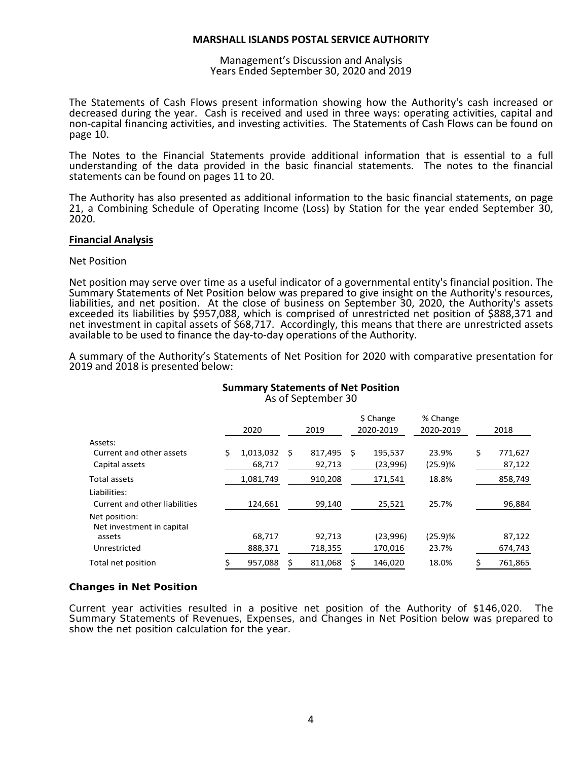Management's Discussion and Analysis Years Ended September 30, 2020 and 2019

The Statements of Cash Flows present information showing how the Authority's cash increased or decreased during the year. Cash is received and used in three ways: operating activities, capital and non-capital financing activities, and investing activities. The Statements of Cash Flows can be found on page 10.

The Notes to the Financial Statements provide additional information that is essential to a full understanding of the data provided in the basic financial statements. The notes to the financial statements can be found on pages 11 to 20.

The Authority has also presented as additional information to the basic financial statements, on page 21, a Combining Schedule of Operating Income (Loss) by Station for the year ended September 30, 2020.

# **Financial Analysis**

#### Net Position

Net position may serve over time as a useful indicator of a governmental entity's financial position. The Summary Statements of Net Position below was prepared to give insight on the Authority's resources, liabilities, and net position. At the close of business on September 30, 2020, the Authority's assets liabilities, and net position. At the close of business on September 30, 2020, the Authority's assets<br>exceeded its liabilities by \$957,088, which is comprised of unrestricted net position of \$888,371 and net investment in capital assets of \$68,717. Accordingly, this means that there are unrestricted assets available to be used to finance the day-to-day operations of the Authority.

A summary of the Authority's Statements of Net Position for 2020 with comparative presentation for 2019 and 2018 is presented below:

| <b>Summary Statements of Net Position</b> |
|-------------------------------------------|
| As of September 30                        |
|                                           |

|                                            |   |           |   |         |   | \$ Change | % Change  |   |         |
|--------------------------------------------|---|-----------|---|---------|---|-----------|-----------|---|---------|
|                                            |   | 2020      |   | 2019    |   | 2020-2019 | 2020-2019 |   | 2018    |
| Assets:                                    |   |           |   |         |   |           |           |   |         |
| Current and other assets                   | S | 1,013,032 | S | 817,495 | s | 195.537   | 23.9%     | S | 771,627 |
| Capital assets                             |   | 68,717    |   | 92,713  |   | (23,996)  | (25.9)%   |   | 87,122  |
| Total assets                               |   | 1,081,749 |   | 910,208 |   | 171,541   | 18.8%     |   | 858,749 |
| Liabilities:                               |   |           |   |         |   |           |           |   |         |
| Current and other liabilities              |   | 124,661   |   | 99,140  |   | 25,521    | 25.7%     |   | 96,884  |
| Net position:<br>Net investment in capital |   |           |   |         |   |           |           |   |         |
| assets                                     |   | 68.717    |   | 92,713  |   | (23,996)  | (25.9)%   |   | 87,122  |
| Unrestricted                               |   | 888,371   |   | 718,355 |   | 170,016   | 23.7%     |   | 674,743 |
| Total net position                         |   | 957.088   |   | 811.068 |   | 146.020   | 18.0%     |   | 761,865 |

#### **Changes in Net Position**

Current year activities resulted in a positive net position of the Authority of \$146,020. The Summary Statements of Revenues, Expenses, and Changes in Net Position below was prepared to show the net position calculation for the year.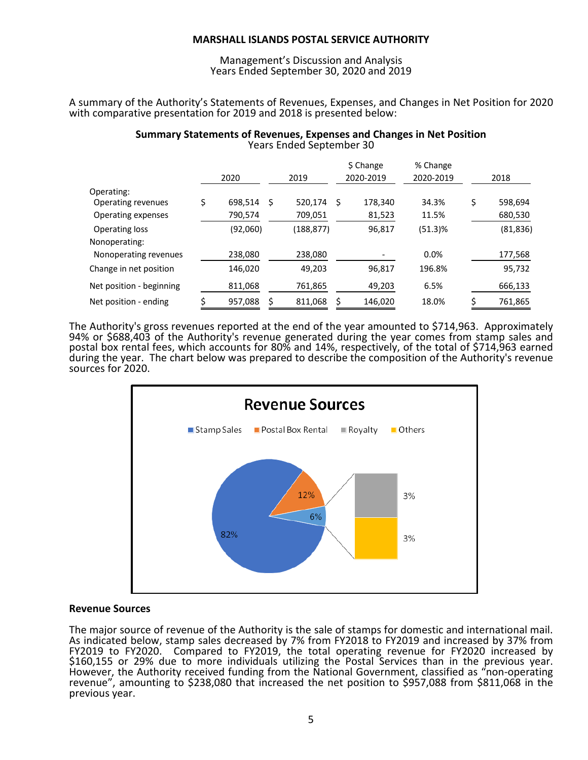Management's Discussion and Analysis Years Ended September 30, 2020 and 2019

A summary of the Authority's Statements of Revenues, Expenses, and Changes in Net Position for 2020 with comparative presentation for 2019 and 2018 is presented below:

#### **Summary Statements of Revenues, Expenses and Changes in Net Position** Years Ended September 30

|                          |   | 2020     |   | 2019      |   | S Change<br>2020-2019 | % Change<br>2020-2019 |   | 2018      |
|--------------------------|---|----------|---|-----------|---|-----------------------|-----------------------|---|-----------|
| Operating:               |   |          |   |           |   |                       |                       |   |           |
| Operating revenues       | S | 698,514  | S | 520,174   | S | 178,340               | 34.3%                 | Ş | 598,694   |
| Operating expenses       |   | 790,574  |   | 709,051   |   | 81,523                | 11.5%                 |   | 680,530   |
| Operating loss           |   | (92,060) |   | (188,877) |   | 96,817                | (51.3)%               |   | (81, 836) |
| Nonoperating:            |   |          |   |           |   |                       |                       |   |           |
| Nonoperating revenues    |   | 238,080  |   | 238,080   |   |                       | 0.0%                  |   | 177,568   |
| Change in net position   |   | 146,020  |   | 49,203    |   | 96,817                | 196.8%                |   | 95,732    |
| Net position - beginning |   | 811,068  |   | 761,865   |   | 49,203                | 6.5%                  |   | 666,133   |
| Net position - ending    |   | 957,088  |   | 811,068   |   | 146,020               | 18.0%                 |   | 761,865   |

The Authority's gross revenues reported at the end of the year amounted to \$714,963. Approximately 194% or \$688,403 of the Authority's revenue generated during the year comes from stamp sales and postal box rental fees, which accounts for 80% and 14%, respectively, of the total of \$714,963 earned during the year. The chart below was prepared to describe the composition of the Authority's revenue sources for 2020.



# **Revenue Sources**

The major source of revenue of the Authority is the sale of stamps for domestic and international mail. As indicated below, stamp sales decreased by 7% from FY2018 to FY2019 and increased by 37% from FY2019 to FY2020. Compared to FY2019, the total operating revenue for FY2020 increased by \$160,155 or 29% due to more individuals utilizing the Postal Services than in the previous year. However, the Authority received funding from the National Government, classified as "non-operating revenue", amounting to \$238,080 that increased the net position to \$957,088 from \$811,068 in the previous year.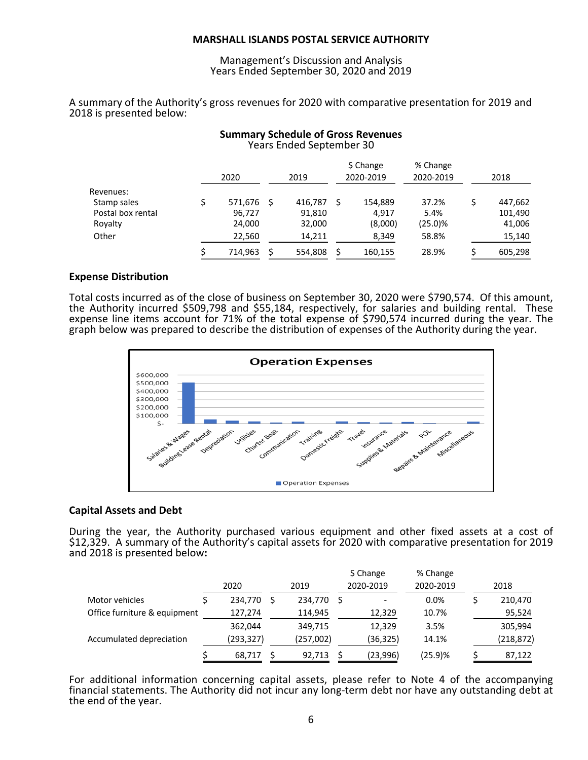#### Management's Discussion and Analysis Years Ended September 30, 2020 and 2019

A summary of the Authority's gross revenues for 2020 with comparative presentation for 2019 and 2018 is presented below:

| <b>Summary Schedule of Gross Revenues</b><br>Years Ended September 30 |          |          |
|-----------------------------------------------------------------------|----------|----------|
|                                                                       | S Change | % Change |

|                   | 2020    | 2019    | 2020-2019 | 2020-2019  | 2018    |
|-------------------|---------|---------|-----------|------------|---------|
| Revenues:         |         |         |           |            |         |
| Stamp sales       | 571,676 | 416,787 | 154.889   | 37.2%      | 447,662 |
| Postal box rental | 96,727  | 91,810  | 4.917     | 5.4%       | 101,490 |
| Royalty           | 24,000  | 32,000  | (8,000)   | $(25.0)\%$ | 41,006  |
| Other             | 22,560  | 14,211  | 8,349     | 58.8%      | 15,140  |
|                   | 714,963 | 554,808 | 160,155   | 28.9%      | 605,298 |

# **Expense Distribution**

Total costs incurred as of the close of business on September 30, 2020 were \$790,574. Of this amount, the Authority incurred \$509,798 and \$55,184, respectively, for salaries and building rental. These expense line items account for 71% of the total expense of \$790,574 incurred during the year. The graph below was prepared to describe the distribution of expenses of the Authority during the year.



#### **Capital Assets and Debt**

During the year, the Authority purchased various equipment and other fixed assets at a cost of \$12,329. A summary of the Authority's capital assets for 2020 with comparative presentation for 2019 and 2018 is presented below**:**

|                              |           |           |   | S Change  | % Change  |            |
|------------------------------|-----------|-----------|---|-----------|-----------|------------|
|                              | 2020      | 2019      |   | 2020-2019 | 2020-2019 | 2018       |
| Motor vehicles               | 234,770   | 234,770   | S |           | $0.0\%$   | 210,470    |
| Office furniture & equipment | 127,274   | 114,945   |   | 12,329    | 10.7%     | 95,524     |
|                              | 362,044   | 349,715   |   | 12,329    | 3.5%      | 305,994    |
| Accumulated depreciation     | (293,327) | (257,002) |   | (36, 325) | 14.1%     | (218, 872) |
|                              | 68,717    | 92,713    |   | (23,996)  | (25.9)%   | 87,122     |

For additional information concerning capital assets, please refer to Note 4 of the accompanying financial statements. The Authority did not incur any long-term debt nor have any outstanding debt at the end of the year.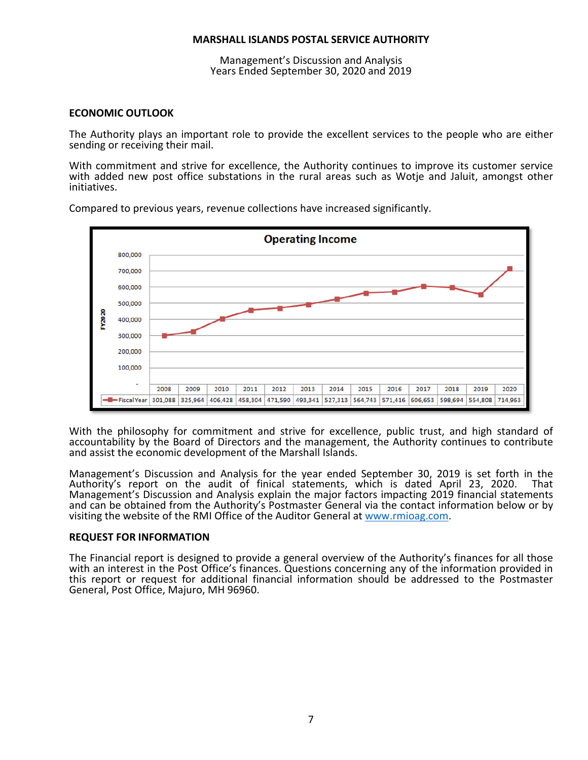Management's Discussion and Analysis Years Ended September 30, 2020 and 2019

# **ECONOMIC OUTLOOK**

The Authority plays an important role to provide the excellent services to the people who are either sending or receiving their mail.

With commitment and strive for excellence, the Authority continues to improve its customer service with added new post office substations in the rural areas such as Wotje and Jaluit, amongst other initiatives.

Compared to previous years, revenue collections have increased significantly.



With the philosophy for commitment and strive for excellence, public trust, and high standard of accountability by the Board of Directors and the management, the Authority continues to contribute and assist the economic development of the Marshall Islands.

Management's Discussion and Analysis for the year ended September 30, 2019 is set forth in the Authority's report on the audit of finical statements, which is dated April 23, 2020. Management's Discussion and Analysis explain the major factors impacting 2019 financial statements and can be obtained from the Authority's Postmaster General via the contact information below or by visiting the website of the RMI Office of the Auditor General at [www.rmioag.com.](http://www.rmioag.com/)

#### **REQUEST FOR INFORMATION**

The Financial report is designed to provide a general overview of the Authority's finances for all those with an interest in the Post Office's finances. Questions concerning any of the information provided in this report or request for additional financial information should be addressed to the Postmaster General, Post Office, Majuro, MH 96960.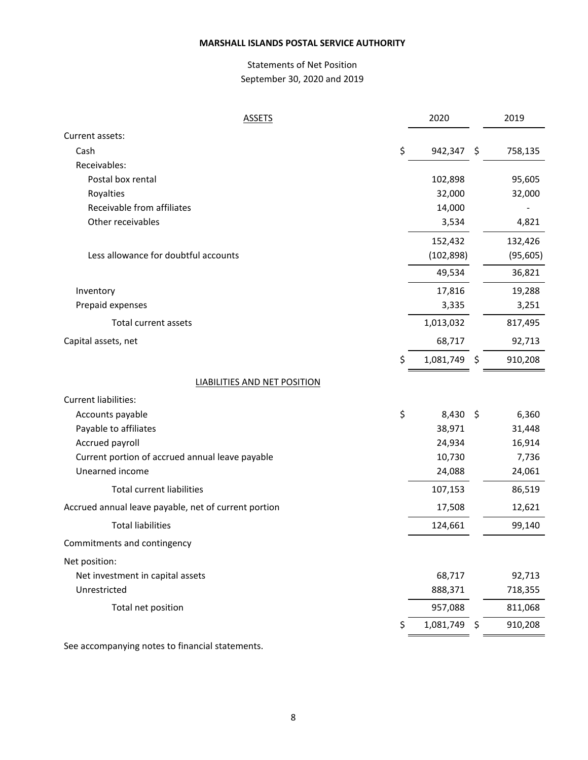# Statements of Net Position September 30, 2020 and 2019

| <b>ASSETS</b>                                        | 2020               |     | 2019      |
|------------------------------------------------------|--------------------|-----|-----------|
| Current assets:                                      |                    |     |           |
| Cash                                                 | \$<br>942,347 \$   |     | 758,135   |
| Receivables:                                         |                    |     |           |
| Postal box rental                                    | 102,898            |     | 95,605    |
| Royalties                                            | 32,000             |     | 32,000    |
| Receivable from affiliates                           | 14,000             |     |           |
| Other receivables                                    | 3,534              |     | 4,821     |
|                                                      | 152,432            |     | 132,426   |
| Less allowance for doubtful accounts                 | (102, 898)         |     | (95, 605) |
|                                                      | 49,534             |     | 36,821    |
| Inventory                                            | 17,816             |     | 19,288    |
| Prepaid expenses                                     | 3,335              |     | 3,251     |
| Total current assets                                 | 1,013,032          |     | 817,495   |
| Capital assets, net                                  | 68,717             |     | 92,713    |
|                                                      | \$<br>1,081,749 \$ |     | 910,208   |
| LIABILITIES AND NET POSITION                         |                    |     |           |
| <b>Current liabilities:</b>                          |                    |     |           |
| Accounts payable                                     | \$<br>$8,430$ \$   |     | 6,360     |
| Payable to affiliates                                | 38,971             |     | 31,448    |
| Accrued payroll                                      | 24,934             |     | 16,914    |
| Current portion of accrued annual leave payable      | 10,730             |     | 7,736     |
| Unearned income                                      | 24,088             |     | 24,061    |
| <b>Total current liabilities</b>                     | 107,153            |     | 86,519    |
| Accrued annual leave payable, net of current portion | 17,508             |     | 12,621    |
| <b>Total liabilities</b>                             | 124,661            |     | 99,140    |
| Commitments and contingency                          |                    |     |           |
| Net position:                                        |                    |     |           |
| Net investment in capital assets                     | 68,717             |     | 92,713    |
| Unrestricted                                         | 888,371            |     | 718,355   |
| Total net position                                   | 957,088            |     | 811,068   |
|                                                      | \$<br>1,081,749    | \$, | 910,208   |

See accompanying notes to financial statements.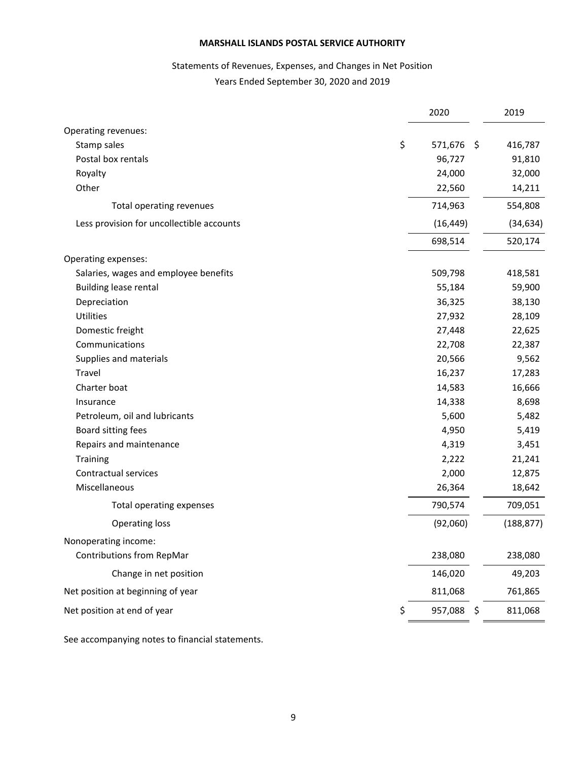# Statements of Revenues, Expenses, and Changes in Net Position

Years Ended September 30, 2020 and 2019

|                                           | 2020      | 2019          |
|-------------------------------------------|-----------|---------------|
| Operating revenues:                       |           |               |
| \$<br>Stamp sales                         | 571,676   | \$<br>416,787 |
| Postal box rentals                        | 96,727    | 91,810        |
| Royalty                                   | 24,000    | 32,000        |
| Other                                     | 22,560    | 14,211        |
| Total operating revenues                  | 714,963   | 554,808       |
| Less provision for uncollectible accounts | (16, 449) | (34, 634)     |
|                                           | 698,514   | 520,174       |
| Operating expenses:                       |           |               |
| Salaries, wages and employee benefits     | 509,798   | 418,581       |
| <b>Building lease rental</b>              | 55,184    | 59,900        |
| Depreciation                              | 36,325    | 38,130        |
| Utilities                                 | 27,932    | 28,109        |
| Domestic freight                          | 27,448    | 22,625        |
| Communications                            | 22,708    | 22,387        |
| Supplies and materials                    | 20,566    | 9,562         |
| Travel                                    | 16,237    | 17,283        |
| Charter boat                              | 14,583    | 16,666        |
| Insurance                                 | 14,338    | 8,698         |
| Petroleum, oil and lubricants             | 5,600     | 5,482         |
| Board sitting fees                        | 4,950     | 5,419         |
| Repairs and maintenance                   | 4,319     | 3,451         |
| Training                                  | 2,222     | 21,241        |
| Contractual services                      | 2,000     | 12,875        |
| Miscellaneous                             | 26,364    | 18,642        |
| Total operating expenses                  | 790,574   | 709,051       |
| <b>Operating loss</b>                     | (92,060)  | (188, 877)    |
| Nonoperating income:                      |           |               |
| Contributions from RepMar                 | 238,080   | 238,080       |
| Change in net position                    | 146,020   | 49,203        |
| Net position at beginning of year         | 811,068   | 761,865       |
| \$<br>Net position at end of year         | 957,088   | \$<br>811,068 |
|                                           |           |               |

See accompanying notes to financial statements.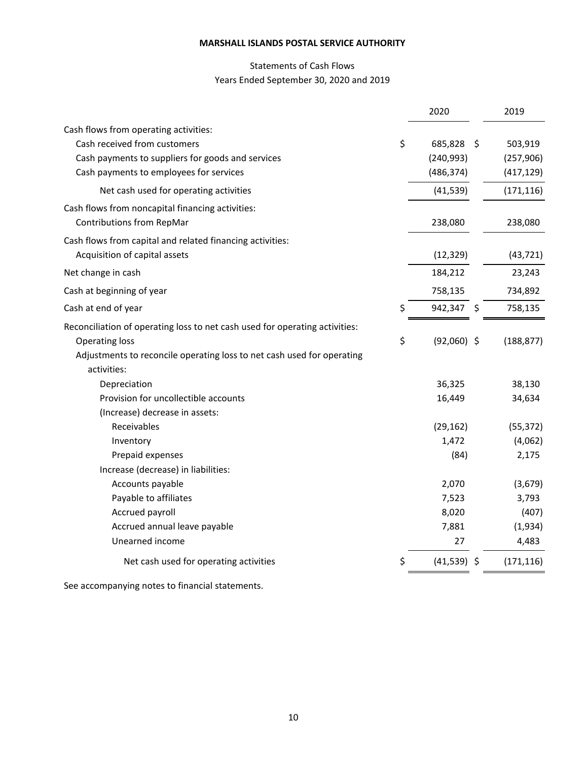# Statements of Cash Flows Years Ended September 30, 2020 and 2019

|                                                                             | 2020                |             | 2019       |
|-----------------------------------------------------------------------------|---------------------|-------------|------------|
| Cash flows from operating activities:                                       |                     |             |            |
| Cash received from customers                                                | \$<br>685,828       | - \$        | 503,919    |
| Cash payments to suppliers for goods and services                           | (240,993)           |             | (257, 906) |
| Cash payments to employees for services                                     | (486, 374)          |             | (417, 129) |
| Net cash used for operating activities                                      | (41, 539)           |             | (171, 116) |
| Cash flows from noncapital financing activities:                            |                     |             |            |
| Contributions from RepMar                                                   | 238,080             |             | 238,080    |
| Cash flows from capital and related financing activities:                   |                     |             |            |
| Acquisition of capital assets                                               | (12, 329)           |             | (43, 721)  |
| Net change in cash                                                          | 184,212             |             | 23,243     |
| Cash at beginning of year                                                   | 758,135             |             | 734,892    |
| Cash at end of year                                                         | \$<br>942,347       | $\varsigma$ | 758,135    |
| Reconciliation of operating loss to net cash used for operating activities: |                     |             |            |
| <b>Operating loss</b>                                                       | \$<br>$(92,060)$ \$ |             | (188, 877) |
| Adjustments to reconcile operating loss to net cash used for operating      |                     |             |            |
| activities:                                                                 |                     |             |            |
| Depreciation                                                                | 36,325              |             | 38,130     |
| Provision for uncollectible accounts                                        | 16,449              |             | 34,634     |
| (Increase) decrease in assets:                                              |                     |             |            |
| Receivables                                                                 | (29, 162)           |             | (55, 372)  |
| Inventory                                                                   | 1,472               |             | (4,062)    |
| Prepaid expenses                                                            | (84)                |             | 2,175      |
| Increase (decrease) in liabilities:                                         |                     |             |            |
| Accounts payable                                                            | 2,070               |             | (3,679)    |
| Payable to affiliates                                                       | 7,523               |             | 3,793      |
| Accrued payroll                                                             | 8,020               |             | (407)      |
| Accrued annual leave payable                                                | 7,881               |             | (1,934)    |
| Unearned income                                                             | 27                  |             | 4,483      |
| Net cash used for operating activities                                      | \$<br>$(41,539)$ \$ |             | (171, 116) |
|                                                                             |                     |             |            |

See accompanying notes to financial statements.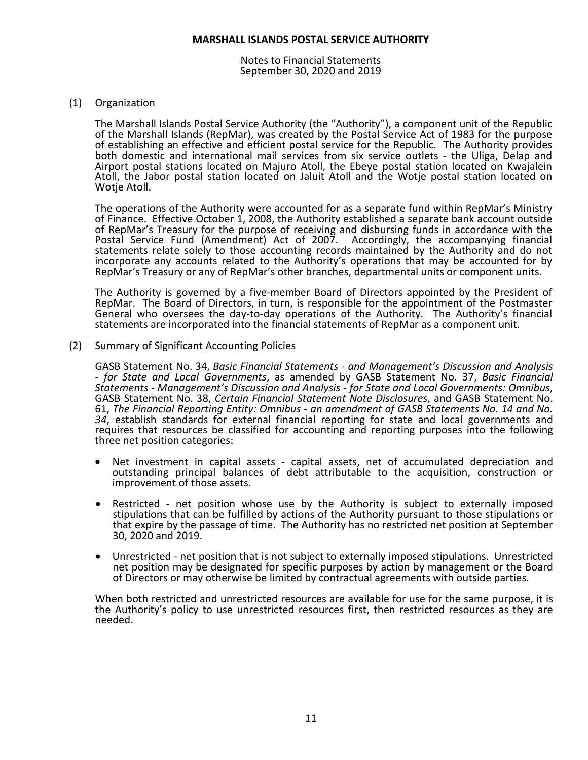Notes to Financial Statements September 30, 2020 and 2019

# (1) Organization

The Marshall Islands Postal Service Authority (the "Authority"), a component unit of the Republic of the Marshall Islands (RepMar), was created by the Postal Service Act of 1983 for the purpose of establishing an effective and efficient postal service for the Republic. The Authority provides both domestic and international mail services from six service outlets - the Uliga, Delap and Airport postal stations located on Majuro Atoll, the Ebeye postal station located on Kwajalein Atoll, the Jabor postal station located on Jaluit Atoll and the Wotje postal station located on Wotie Atoll.

The operations of the Authority were accounted for as a separate fund within RepMar's Ministry of Finance. Effective October 1, 2008, the Authority established a separate bank account outside of RepMar's Treasury for the purpose of receiving and disbursing funds in accordance with the Postal Service Fund (Amendment) Act of 2007. Accordingly, the accompanying financial statements relate solely to those accounting records maintained by the Authority and do not incorporate any accounts related to the Authority's operations that may be accounted for by RepMar's Treasury or any of RepMar's other branches, departmental units or component units.

The Authority is governed by a five-member Board of Directors appointed by the President of RepMar. The Board of Directors, in turn, is responsible for the appointment of the Postmaster General who oversees the day-to-day operations of the Authority. The Authority's financial statements are incorporated into the financial statements of RepMar as a component unit.

# (2) Summary of Significant Accounting Policies

GASB Statement No. 34, *Basic Financial Statements - and Management's Discussion and Analysis - for State and Local Governments*, as amended by GASB Statement No. 37, *Basic Financial Statements - Management's Discussion and Analysis - for State and Local Governments: Omnibus*, GASB Statement No. 38, *Certain Financial Statement Note Disclosures*, and GASB Statement No. 61, *The Financial Reporting Entity: Omnibus - an amendment of GASB Statements No. 14 and No. 34*, establish standards for external financial reporting for state and local governments and requires that resources be classified for accounting and reporting purposes into the following three net position categories:

- Net investment in capital assets capital assets, net of accumulated depreciation and outstanding principal balances of debt attributable to the acquisition, construction or improvement of those assets.
- Restricted net position whose use by the Authority is subject to externally imposed stipulations that can be fulfilled by actions of the Authority pursuant to those stipulations or that expire by the passage of time. The Authority has no restricted net position at September
- Unrestricted net position that is not subject to externally imposed stipulations. Unrestricted net position may be designated for specific purposes by action by management or the Board of Directors or may otherwise be limited by contractual agreements with outside parties.

When both restricted and unrestricted resources are available for use for the same purpose, it is the Authority's policy to use unrestricted resources first, then restricted resources as they are needed.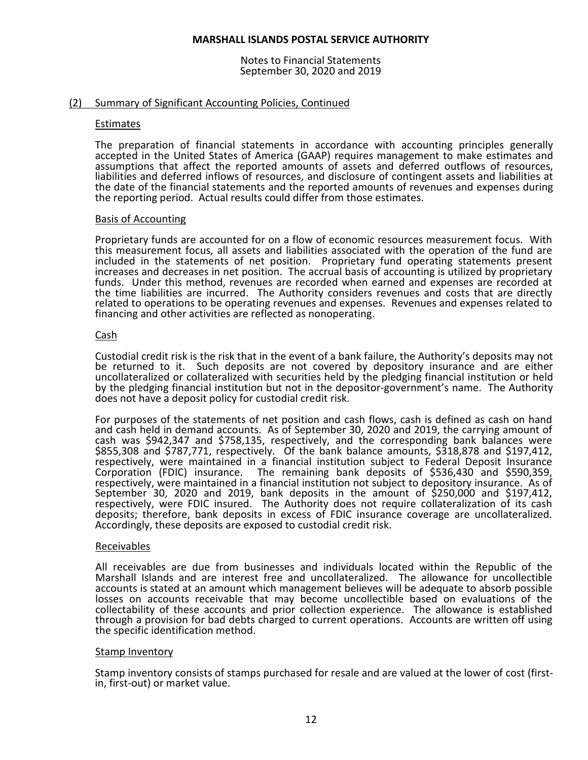Notes to Financial Statements September 30, 2020 and 2019

# (2) Summary of Significant Accounting Policies, Continued

#### Estimates

The preparation of financial statements in accordance with accounting principles generally accepted in the United States of America (GAAP) requires management to make estimates and assumptions that affect the reported amounts of assets and deferred outflows of resources, liabilities and deferred inflows of resources, and disclosure of contingent assets and liabilities at the date of the financial statements and the reported amounts of revenues and expenses during the reporting period. Actual results could differ from those estimates.

#### Basis of Accounting

Proprietary funds are accounted for on a flow of economic resources measurement focus. With this measurement focus, all assets and liabilities associated with the operation of the fund are included in the statements of net position. Proprietary fund operating statements present increases and decreases in net position. The accrual basis of accounting is utilized by proprietary funds. Under this method, revenues are recorded when earned and expenses are recorded at the time liabilities are incurred. The Authority considers revenues and costs that are directly related to operations to be operating revenues and expenses. Revenues and expenses related to financing and other activities are reflected as nonoperating.

## Cash

Custodial credit risk is the risk that in the event of a bank failure, the Authority's deposits may not be returned to it. Such deposits are not covered by depository insurance and are either uncollateralized or collateralized with securities held by the pledging financial institution or held by the pledging financial institution but not in the depositor-government's name. The Authority does not have a deposit policy for custodial credit risk.

For purposes of the statements of net position and cash flows, cash is defined as cash on hand and cash held in demand accounts. As of September 30, 2020 and 2019, the carrying amount of and cash held in demand 3758,135, respectively, and the corresponding bank balances were \$855,308 and \$787,771, respectively. Of the bank balance amounts, \$318,878 and \$197,412, respectively, were maintained in a financial institution subject to Federal Deposit Insurance Corporation (FDIC) insurance. The remaining bank deposits of \$536,430 and \$590,359, respectively, were maintained in a financial institution not subject to depository insurance. As of September 30, 2020 and 2019, bank deposits in the amount of \$250,000 and \$197,412, respectively, were FDIC insured. The Authority does not require collateralization of its cash deposits; therefore, bank deposits in excess of FDIC insurance coverage are uncollateralized. Accordingly, these deposits are exposed to custodial credit risk.

#### Receivables

All receivables are due from businesses and individuals located within the Republic of the Marshall Islands and are interest free and uncollateralized. The allowance for uncollectible accounts is stated at an amount which management believes will be adequate to absorb possible losses on accounts receivable that may become uncollectible based on evaluations of the collectability of these accounts and prior collection experience. The allowance is established through a provision for bad debts charged to current operations. Accounts are written off using the specific identification method.

#### Stamp Inventory

Stamp inventory consists of stamps purchased for resale and are valued at the lower of cost (first-<br>in, first-out) or market value.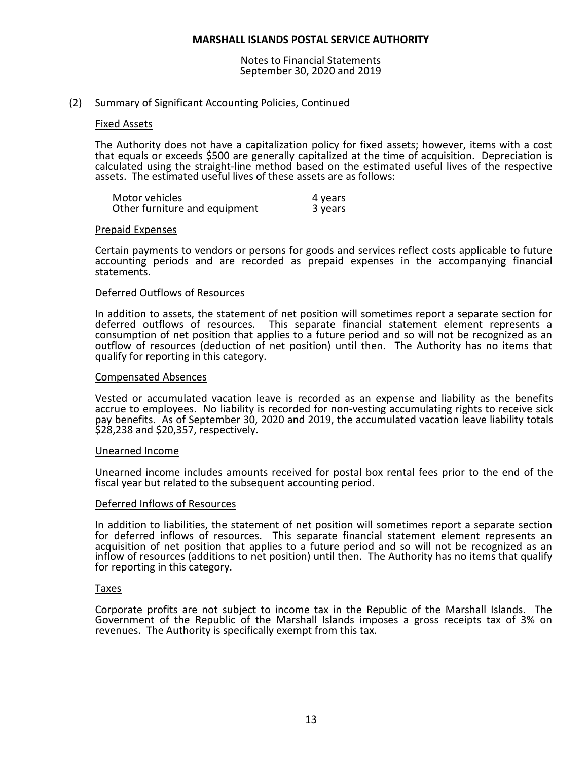Notes to Financial Statements September 30, 2020 and 2019

# (2) Summary of Significant Accounting Policies, Continued

#### Fixed Assets

The Authority does not have a capitalization policy for fixed assets; however, items with a cost that equals or exceeds \$500 are generally capitalized at the time of acquisition. Depreciation is calculated using the straight-line method based on the estimated useful lives of the respective assets. The estimated useful lives of these assets are as follows:

| Motor vehicles                | 4 years |
|-------------------------------|---------|
| Other furniture and equipment | 3 years |

#### Prepaid Expenses

Certain payments to vendors or persons for goods and services reflect costs applicable to future accounting periods and are recorded as prepaid expenses in the accompanying financial statements.

#### Deferred Outflows of Resources

In addition to assets, the statement of net position will sometimes report a separate section for deferred outflows of resources. This separate financial statement element represents a consumption of net position that applies to a future period and so will not be recognized as an outflow of resources (deduction of net position) until then. The Authority has no items that qualify for reporting in this category.

#### Compensated Absences

Vested or accumulated vacation leave is recorded as an expense and liability as the benefits accrue to employees. No liability is recorded for non-vesting accumulating rights to receive sick pay benefits. As of September 30, 2020 and 2019, the accumulated vacation leave liability totals \$28,238 and \$20,357, respectively.

#### Unearned Income

Unearned income includes amounts received for postal box rental fees prior to the end of the fiscal year but related to the subsequent accounting period.

#### Deferred Inflows of Resources

In addition to liabilities, the statement of net position will sometimes report a separate section for deferred inflows of resources. This separate financial statement element represents an acquisition of net position that applies to a future period and so will not be recognized as an inflow of resources (additions to net position) until then. The Authority has no items that qualify for reporting in this category.

#### Taxes

Corporate profits are not subject to income tax in the Republic of the Marshall Islands. The Government of the Republic of the Marshall Islands imposes a gross receipts tax of 3% on revenues. The Authority is specifically exempt from this tax.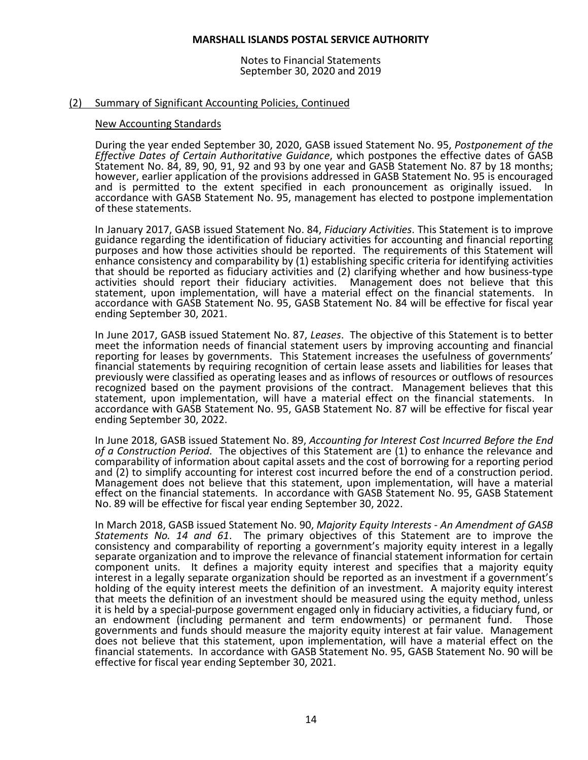Notes to Financial Statements September 30, 2020 and 2019

# (2) Summary of Significant Accounting Policies, Continued

## New Accounting Standards

During the year ended September 30, 2020, GASB issued Statement No. 95, *Postponement of the Effective Dates of Certain Authoritative Guidance*, which postpones the effective dates of GASB Statement No. 84, 89, 90, 91, 92 and 93 by one year and GASB Statement No. 87 by 18 months; however, earlier application of the provisions addressed in GASB Statement No. 95 is encouraged and is permitted to the extent specified in each pronouncement as originally issued. In accordance with GASB Statement No. 95, management has elected to postpone implementation of these statements.

In January 2017, GASB issued Statement No. 84, *Fiduciary Activities*. This Statement is to improve guidance regarding the identification of fiduciary activities for accounting and financial reporting purposes and how those activities should be reported. The requirements of this Statement will enhance consistency and comparability by (1) establishing specific criteria for identifying activities that should be reported as fiduciary activities and (2) clarifying whether and how business-type activities should report their fiduciary activities. Management does not believe that this statement, upon implementation, will have a material effect on the financial statements. In accordance with GASB Statement No. 95, GASB Statement No. 84 will be effective for fiscal year ending September 30, 2021.

In June 2017, GASB issued Statement No. 87, *Leases*. The objective of this Statement is to better meet the information needs of financial statement users by improving accounting and financial reporting for leases by governments. This Statement increases the usefulness of governments' financial statements by requiring recognition of certain lease assets and liabilities for leases that previously were classified as operating leases and as inflows of resources or outflows of resources recognized based on the payment provisions of the contract. Management believes that this statement, upon implementation, will have a material effect on the financial statements. In accordance with GASB Statement No. 95, GASB Statement No. 87 will be effective for fiscal year ending September 30, 2022.

In June 2018, GASB issued Statement No. 89, *Accounting for Interest Cost Incurred Before the End of a Construction Period*. The objectives of this Statement are (1) to enhance the relevance and comparability of information about capital assets and the cost of borrowing for a reporting period and (2) to simplify accounting for interest cost incurred before the end of a construction period. Management does not believe that this statement, upon implementation, will have a material effect on the financial statements. In accordance with GASB Statement No. 95, GASB Statement No. 89 will be effective for fiscal year ending September 30, 2022.

In March 2018, GASB issued Statement No. 90, *Majority Equity Interests - An Amendment of GASB Statements No. 14 and 61*. The primary objectives of this Statement are to improve the consistency and comparability of reporting a government's majority equity interest in a legally separate organization and to improve the relevance of financial statement information for certain component units. It defines a majority equity interest and specifies that a majority equity interest in a legally separate organization should be reported as an investment if a government's holding of the equity interest meets the definition of an investment. A majority equity interest that meets the definition of an investment should be measured using the equity method, unless it is held by a special-purpose government engaged only in fiduciary activities, a fiduciary fund, or an endowment (including permanent and term endowments) or permanent fund. Those governments and funds should measure the majority equity interest at fair value. Management does not believe that this statement, upon implementation, will have a material effect on the financial statements. In accordance with GASB Statement No. 95, GASB Statement No. 90 will be effective for fiscal year ending September 30, 2021.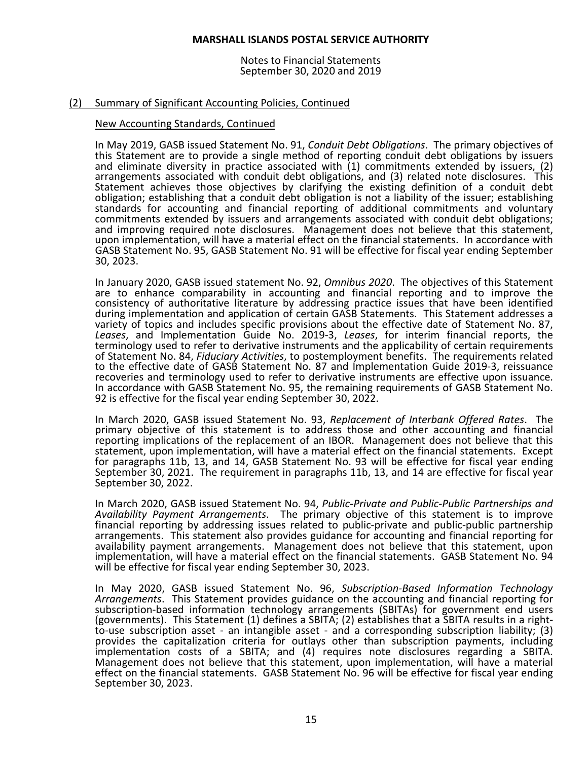Notes to Financial Statements September 30, 2020 and 2019

# (2) Summary of Significant Accounting Policies, Continued

## New Accounting Standards, Continued

In May 2019, GASB issued Statement No. 91, *Conduit Debt Obligations*. The primary objectives of this Statement are to provide a single method of reporting conduit debt obligations by issuers and eliminate diversity in practice associated with (1) commitments extended by issuers, (2) arrangements associated with conduit debt obligations, and (3) related note disclosures. This Statement achieves those objectives by clarifying the existing definition of a conduit debt obligation; establishing that a conduit debt obligation is not a liability of the issuer; establishing standards for accounting and financial reporting of additional commitments and voluntary commitments extended by issuers and arrangements associated with conduit debt obligations;<br>and improving required note disclosures. Management does not believe that this statement, upon implementation, will have a material effect on the financial statements. In accordance with GASB Statement No. 95, GASB Statement No. 91 will be effective for fiscal year ending September 30, 2023.

In January 2020, GASB issued statement No. 92, *Omnibus 2020*. The objectives of this Statement are to enhance comparability in accounting and financial reporting and to improve the consistency of authoritative literature by addressing practice issues that have been identified during implementation and application of certain GASB Statements. This Statement addresses a variety of topics and includes specific provisions about the effective date of Statement No. 87, *Leases*, and Implementation Guide No. 2019-3, *Leases*, for interim financial reports, the terminology used to refer to derivative instruments and the applicability of certain requirements of Statement No. 84, *Fiduciary Activities*, to postemployment benefits. The requirements related to the effective date of GASB Statement No. 87 and Implementation Guide 2019-3, reissuance recoveries and terminology used to refer to derivative instruments are effective upon issuance. In accordance with GASB Statement No. 95, the remaining requirements of GASB Statement No. 92 is effective for the fiscal year ending September 30, 2022.

In March 2020, GASB issued Statement No. 93, *Replacement of Interbank Offered Rates*. The primary objective of this statement is to address those and other accounting and financial reporting implications of the replacement of an IBOR. Management does not believe that this statement, upon implementation, will have a material effect on the financial statements. Except for paragraphs 11b, 13, and 14, GASB Statement No. 93 will be effective for fiscal year ending September 30, 2021. The requirement in paragraphs 11b, 13, and 14 are effective for fiscal year September 30, 2022.

In March 2020, GASB issued Statement No. 94, *Public-Private and Public-Public Partnerships and Availability Payment Arrangements*. The primary objective of this statement is to improve financial reporting by addressing issues related to public-private and public-public partnership arrangements. This statement also provides guidance for accounting and financial reporting for availability payment arrangements. Management does not believe that this statement, upon implementation, will have a material effect on the financial statements. GASB Statement No. 94 will be effective for fiscal year ending September 30, 2023.

In May 2020, GASB issued Statement No. 96, *Subscription-Based Information Technology Arrangements*. This Statement provides guidance on the accounting and financial reporting for subscription-based information technology arrangements (SBITAs) for government end users (governments). This Statement (1) defines a SBITA; (2) establishes that a SBITA results in a right-<br>to-use subscription asset - an intangible asset - and a corresponding subscription liability; (3) provides the capitalization criteria for outlays other than subscription payments, including inplementation costs of a SBITA; and (4) requires note disclosures regarding a SBITA. Management does not believe that this statement, upon implementation, will have a material effect on the financial statements. GASB Statement No. 96 will be effective for fiscal year ending September 30, 2023.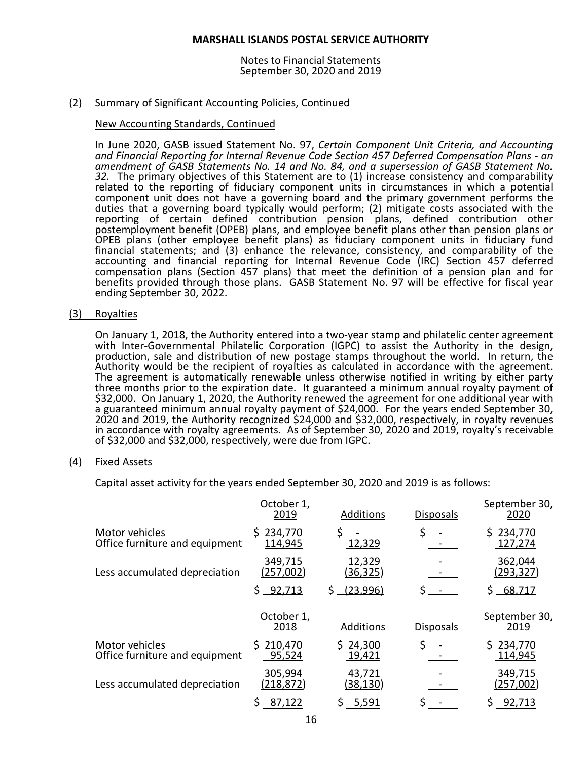#### Notes to Financial Statements September 30, 2020 and 2019

# (2) Summary of Significant Accounting Policies, Continued

# New Accounting Standards, Continued

In June 2020, GASB issued Statement No. 97, *Certain Component Unit Criteria, and Accounting and Financial Reporting for Internal Revenue Code Section 457 Deferred Compensation Plans - an amendment of GASB Statements No. 14 and No. 84, and a supersession of GASB Statement No. 32.* The primary objectives of this Statement are to (1) increase consistency and comparability related to the reporting of fiduciary component units in circumstances in which a potential component unit does not have a governing board and the primary government performs the duties that a governing board typically would perform; (2) mitigate costs associated with the reporting of certain defined contribution pension plans, defined contribution other postemployment benefit (OPEB) plans, and employee benefit plans other than pension plans or OPEB plans (other employee benefit plans) as fiduciary component units in fiduciary fund financial statements; and (3) enhance the relevance, consistency, and comparability of the accounting and financial reporting for Internal Revenue Code (IRC) Section 457 deferred compensation plans (Section 457 plans) that meet the definition of a pension plan and for benefits provided through those plans. GASB Statement No. 97 will be effective for fiscal year ending September 30, 2022.

# (3) Royalties

On January 1, 2018, the Authority entered into a two-year stamp and philatelic center agreement with Inter-Governmental Philatelic Corporation (IGPC) to assist the Authority in the design, production, sale and distribution of new postage stamps throughout the world. In return, the Authority would be the recipient of royalties as calculated in accordance with the agreement. The agreement is automatically renewable unless otherwise notified in writing by either party three months prior to the expiration date. It guaranteed a minimum annual royalty payment of \$32,000. On January 1, 2020, the Authority renewed the agreement for one additional year with a guaranteed minimum annual royalty payment of \$24,000. For the years ended September 30, 2020 and 2019, the Authority recognized \$24,000 and \$32,000, respectively, in royalty revenues in accordance with royalty agreements. As of September 30, 2020 and 2019, royalty's receivable of \$32,000, respectively, were due from IGPC.

#### (4) Fixed Assets

Capital asset activity for the years ended September 30, 2020 and 2019 is as follows:

|                                                  | October 1,<br>2019   | Additions           | <b>Disposals</b>                   | September 30,<br>2020 |
|--------------------------------------------------|----------------------|---------------------|------------------------------------|-----------------------|
| Motor vehicles<br>Office furniture and equipment | \$234,770<br>114,945 | \$<br>12,329        | \$<br>$\qquad \qquad \blacksquare$ | \$234,770<br>127,274  |
| Less accumulated depreciation                    | 349,715<br>(257,002) | 12,329<br>(36, 325) |                                    | 362,044<br>(293, 327) |
|                                                  | \$ 92,713            | \$ (23,996)         |                                    | \$ 68,717             |
|                                                  |                      |                     |                                    |                       |
|                                                  | October 1,<br>2018   | Additions           | <b>Disposals</b>                   | September 30,<br>2019 |
| Motor vehicles<br>Office furniture and equipment | \$210,470<br>95,524  | \$24,300<br>19,421  | \$                                 | \$234,770<br>114,945  |
| Less accumulated depreciation                    | 305,994<br>(218,872) | 43,721<br>(38, 130) |                                    | 349,715<br>(257,002)  |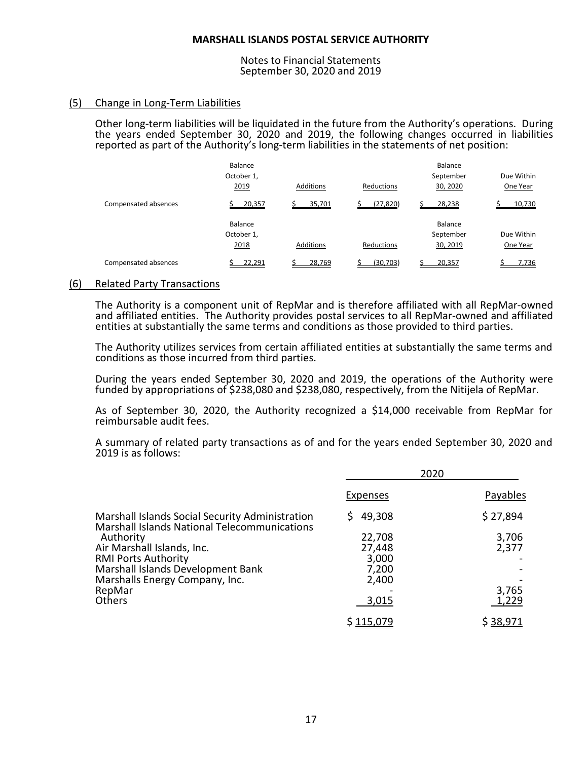#### Notes to Financial Statements September 30, 2020 and 2019

# (5) Change in Long-Term Liabilities

Other long-term liabilities will be liquidated in the future from the Authority's operations. During the years ended September 30, 2020 and 2019, the following changes occurred in liabilities reported as part of the Authority's long-term liabilities in the statements of net position:

|                      | Balance<br>October 1,<br>2019 | Additions | Reductions | Balance<br>September<br>30, 2020 | Due Within<br>One Year |
|----------------------|-------------------------------|-----------|------------|----------------------------------|------------------------|
| Compensated absences | 20,357                        | 35,701    | (27, 820)  | 28,238                           | 10,730                 |
|                      | Balance<br>October 1,<br>2018 | Additions | Reductions | Balance<br>September<br>30, 2019 | Due Within<br>One Year |
| Compensated absences | 22,291                        | 28,769    | (30,703)   | 20,357                           | 7,736                  |

# (6) Related Party Transactions

The Authority is a component unit of RepMar and is therefore affiliated with all RepMar-owned and affiliated entities. The Authority provides postal services to all RepMar-owned and affiliated entities at substantially the same terms and conditions as those provided to third parties.

The Authority utilizes services from certain affiliated entities at substantially the same terms and conditions as those incurred from third parties.

During the years ended September 30, 2020 and 2019, the operations of the Authority were funded by appropriations of \$238,080 and \$238,080, respectively, from the Nitijela of RepMar.

As of September 30, 2020, the Authority recognized a \$14,000 receivable from RepMar for reimbursable audit fees.

A summary of related party transactions as of and for the years ended September 30, 2020 and 2019 is as follows:

|                                                                                                        | 2020            |                 |
|--------------------------------------------------------------------------------------------------------|-----------------|-----------------|
|                                                                                                        | <b>Expenses</b> | Payables        |
| Marshall Islands Social Security Administration<br><b>Marshall Islands National Telecommunications</b> | 49,308          | \$27,894        |
| Authority                                                                                              | 22,708          | 3,706           |
| Air Marshall Islands, Inc.                                                                             | 27,448          | 2,377           |
| <b>RMI Ports Authority</b>                                                                             | 3,000           |                 |
| Marshall Islands Development Bank                                                                      | 7,200           |                 |
| Marshalls Energy Company, Inc.                                                                         | 2,400           |                 |
| RepMar                                                                                                 |                 | 3,765           |
| <b>Others</b>                                                                                          | 3,015           | 1,229           |
|                                                                                                        | \$115,079       | <u>\$38,971</u> |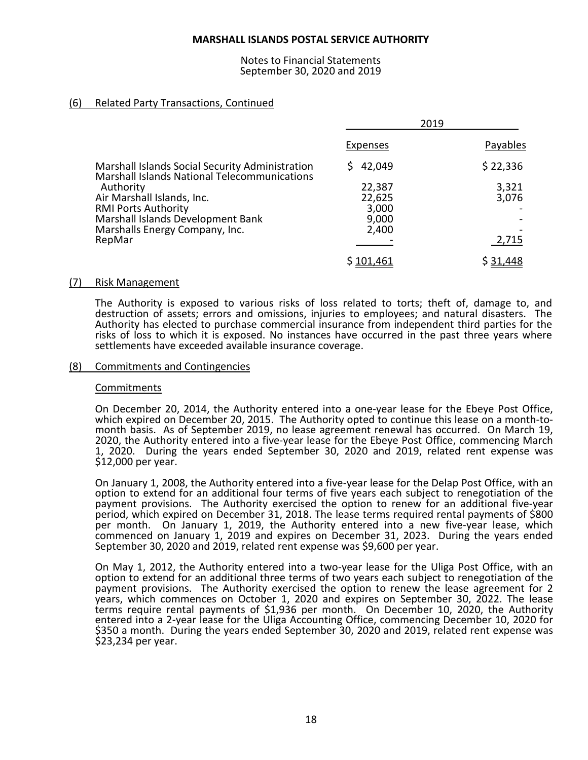#### Notes to Financial Statements September 30, 2020 and 2019

# (6) Related Party Transactions, Continued

|                                                                                                                                                        | 2019                                        |                                |
|--------------------------------------------------------------------------------------------------------------------------------------------------------|---------------------------------------------|--------------------------------|
|                                                                                                                                                        | <b>Expenses</b>                             | Payables                       |
| Marshall Islands Social Security Administration<br><b>Marshall Islands National Telecommunications</b>                                                 | 42,049                                      | \$22,336                       |
| Authority<br>Air Marshall Islands, Inc.<br><b>RMI Ports Authority</b><br>Marshall Islands Development Bank<br>Marshalls Energy Company, Inc.<br>RepMar | 22,387<br>22,625<br>3,000<br>9,000<br>2,400 | 3,321<br>3,076<br><u>2,715</u> |
|                                                                                                                                                        | S <u>101,461</u>                            | \$ <u>31,448</u>               |

# (7) Risk Management

The Authority is exposed to various risks of loss related to torts; theft of, damage to, and destruction of assets; errors and omissions, injuries to employees; and natural disasters. The Authority has elected to purchase commercial insurance from independent third parties for the risks of loss to which it is exposed. No instances have occurred in the past three years where settlements have exceeded available insurance coverage.

# (8) Commitments and Contingencies

#### Commitments

On December 20, 2014, the Authority entered into a one-year lease for the Ebeye Post Office, which expired on December 20, 2015. The Authority opted to continue this lease on a month-tomonth basis. As of September 2019, no lease agreement renewal has occurred. On March 19, 2020, the Authority entered into a five-year lease for the Ebeye Post Office, commencing March 1, 2020. During the years ended September 30, 2020 and 2019, related rent expense was<br>\$12,000 per year.

On January 1, 2008, the Authority entered into a five-year lease for the Delap Post Office, with an option to extend for an additional four terms of five years each subject to renegotiation of the payment provisions. The Authority exercised the option to renew for an additional five-year period, which expired on December 31, 2018. The lease terms required rental payments of \$800 per month. On January 1, 2019, the Authority entered into a new five-year lease, which commenced on January 1, 2019 and expires on December 31, 2023. During the years ended September 30, 2020 and 2019, related rent expense was \$9,600 per year.

On May 1, 2012, the Authority entered into a two-year lease for the Uliga Post Office, with an option to extend for an additional three terms of two years each subject to renegotiation of the payment provisions. The Authority exercised the option to renew the lease agreement for 2 years, which commences on October 1, 2020 and expires on September 30, 2022. The lease terms require rental payments of \$1,936 per month. On December 10, 2020, the Authority entered into a 2-year lease for the Uliga Accounting Office, commencing December 10, 2020 for \$350 a month. During the years ended September 30, 2020 and 2019, related rent expense was \$23,234 per year.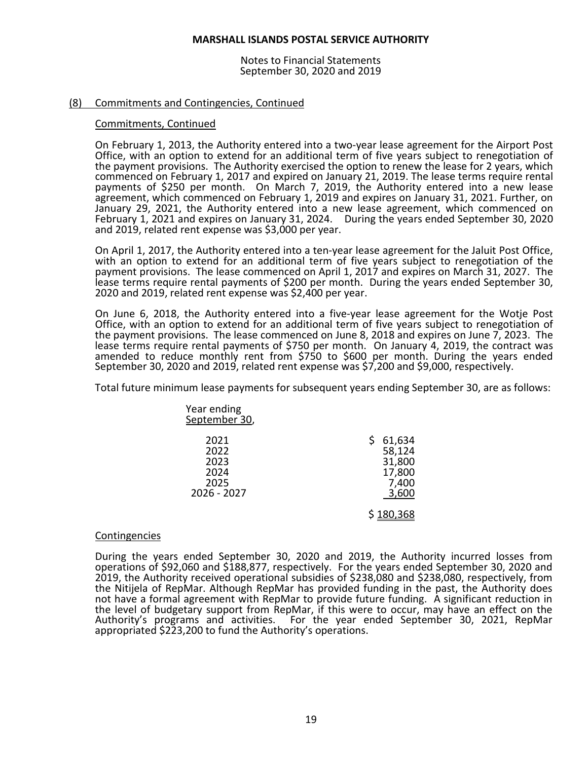Notes to Financial Statements September 30, 2020 and 2019

# (8) Commitments and Contingencies, Continued

## Commitments, Continued

On February 1, 2013, the Authority entered into a two-year lease agreement for the Airport Post Office, with an option to extend for an additional term of five years subject to renegotiation of the payment provisions. The Authority exercised the option to renew the lease for 2 years, which commenced on February 1, 2017 and expired on January 21, 2019. The lease terms require rental commenced on February 1, 2017 and expired on January 21, 2019. The lease terms require rental<br>payments of \$250 per month. On March 7, 2019, the Authority entered into a new lease agreement, which commenced on February 1, 2019 and expires on January 31, 2021. Further, on January 29, 2021, the Authority entered into a new lease agreement, which commenced on February 1, 2021 and expires on January 31, 2024. During the years ended September 30, 2020 and 2019, related rent expense was \$3,000 per year.

On April 1, 2017, the Authority entered into a ten-year lease agreement for the Jaluit Post Office, with an option to extend for an additional term of five years subject to renegotiation of the payment provisions. The lease commenced on April 1, 2017 and expires on March 31, 2027. The lease terms require rental payments of \$200 per month. During the years ended September 30, 2020 and 2019, related rent expense was \$2,400 per year.

On June 6, 2018, the Authority entered into a five-year lease agreement for the Wotje Post Office, with an option to extend for an additional term of five years subject to renegotiation of the payment provisions. The lease commenced on June 8, 2018 and expires on June 7, 2023. The lease terms require rental payments of \$750 per month. On January 4, 2019, the contract was amended to reduce monthly rent from \$750 to \$600 per month. During the years ended September 30, 2020 and 2019, related rent expense was \$7,200 and \$9,000, respectively.

Total future minimum lease payments for subsequent years ending September 30, are as follows:

| Year ending<br>September 30,                        |                                                        |
|-----------------------------------------------------|--------------------------------------------------------|
| 2021<br>2022<br>2023<br>2024<br>2025<br>2026 - 2027 | 61,634<br>58,124<br>31,800<br>17,800<br>7,400<br>3,600 |
|                                                     | \$ <u>180,368</u>                                      |

#### Contingencies

During the years ended September 30, 2020 and 2019, the Authority incurred losses from operations of \$92,060 and \$188,877, respectively. For the years ended September 30, 2020 and 2019, the Authority received operational subsidies of \$238,080 and \$238,080, respectively, from the Nitijela of RepMar. Although RepMar has provided funding in the past, the Authority does not have a formal agreement with RepMar to provide future funding. A significant reduction in the level of budgetary support from RepMar, if this were to occur, may have an effect on the Authority's programs and activities. For the year ended September 30, 2021, RepMar Authority's programs and activities. For the year ended September 30, 2021, RepMar appropriated \$223,200 to fund the Authority's operations.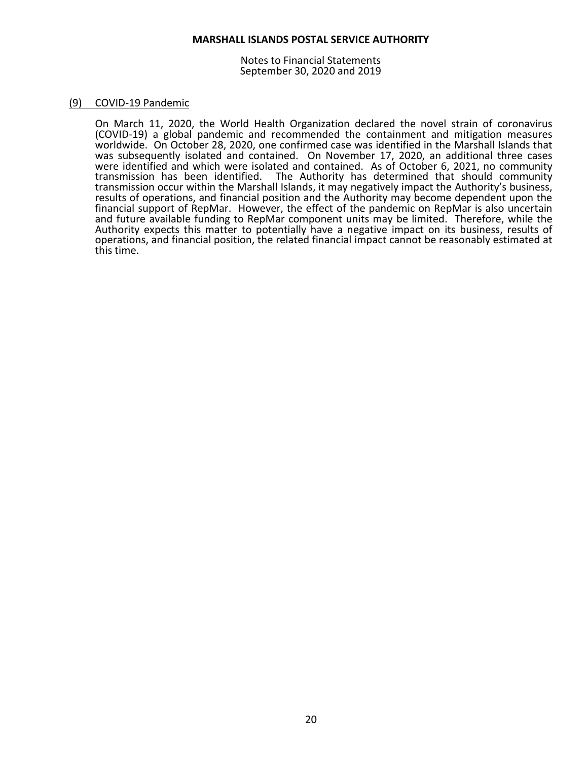Notes to Financial Statements September 30, 2020 and 2019

## (9) COVID-19 Pandemic

On March 11, 2020, the World Health Organization declared the novel strain of coronavirus (COVID-19) a global pandemic and recommended the containment and mitigation measures worldwide. On October 28, 2020, one confirmed case was identified in the Marshall Islands that was subsequently isolated and contained. On November 17, 2020, an additional three cases were identified and which were isolated and contained. As of October 6, 2021, no community transmission has been identified. The Authority has determined that should community transmission occur within the Marshall Islands, it may negatively impact the Authority's business, results of operations, and financial position and the Authority may become dependent upon the financial support of RepMar. However, the effect of the pandemic on RepMar is also uncertain and future available funding to RepMar component units may be limited. Therefore, while the Authority expects this matter to potentially have a negative impact on its business, results of operations, and financial position, the related financial impact cannot be reasonably estimated at this time.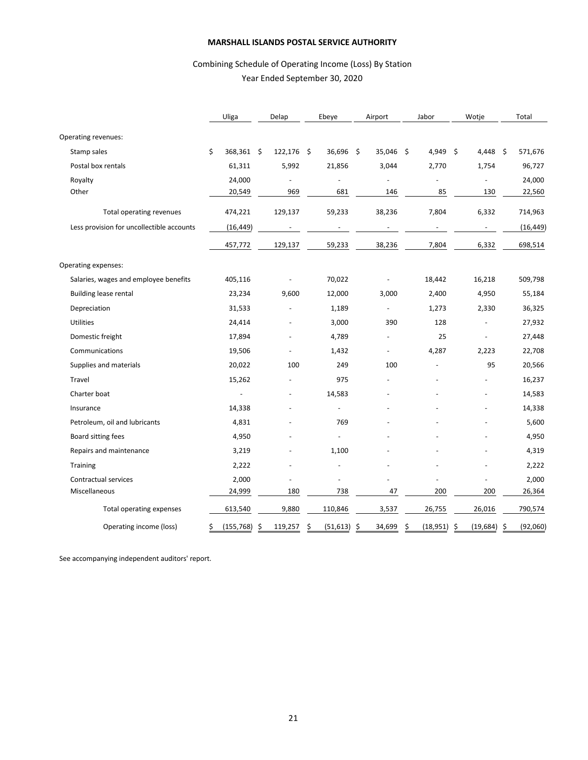# Combining Schedule of Operating Income (Loss) By Station

Year Ended September 30, 2020

|                                           | Uliga            | Delap                    | Ebeye           | Airport                  | Jabor                    | Wotje                    | Total          |
|-------------------------------------------|------------------|--------------------------|-----------------|--------------------------|--------------------------|--------------------------|----------------|
| Operating revenues:                       |                  |                          |                 |                          |                          |                          |                |
| Stamp sales                               | \$<br>368,361 \$ | 122,176                  | \$<br>36,696 \$ | 35,046                   | \$<br>4,949              | \$<br>4,448              | \$<br>571,676  |
| Postal box rentals                        | 61,311           | 5,992                    | 21,856          | 3,044                    | 2,770                    | 1,754                    | 96,727         |
| Royalty                                   | 24,000           |                          |                 |                          |                          |                          | 24,000         |
| Other                                     | 20,549           | 969                      | 681             | 146                      | 85                       | 130                      | 22,560         |
| Total operating revenues                  | 474,221          | 129,137                  | 59,233          | 38,236                   | 7,804                    | 6,332                    | 714,963        |
| Less provision for uncollectible accounts | (16, 449)        |                          |                 | $\frac{1}{2}$            | $\overline{\phantom{a}}$ | $\overline{\phantom{a}}$ | (16, 449)      |
|                                           | 457,772          | 129,137                  | 59,233          | 38,236                   | 7,804                    | 6,332                    | 698,514        |
| Operating expenses:                       |                  |                          |                 |                          |                          |                          |                |
| Salaries, wages and employee benefits     | 405,116          |                          | 70,022          | -                        | 18,442                   | 16,218                   | 509,798        |
| <b>Building lease rental</b>              | 23,234           | 9,600                    | 12,000          | 3,000                    | 2,400                    | 4,950                    | 55,184         |
| Depreciation                              | 31,533           | $\overline{\phantom{a}}$ | 1,189           | ÷.                       | 1,273                    | 2,330                    | 36,325         |
| <b>Utilities</b>                          | 24,414           |                          | 3,000           | 390                      | 128                      |                          | 27,932         |
| Domestic freight                          | 17,894           |                          | 4,789           |                          | 25                       | $\overline{\phantom{a}}$ | 27,448         |
| Communications                            | 19,506           |                          | 1,432           | $\overline{\phantom{a}}$ | 4,287                    | 2,223                    | 22,708         |
| Supplies and materials                    | 20,022           | 100                      | 249             | 100                      |                          | 95                       | 20,566         |
| Travel                                    | 15,262           |                          | 975             |                          |                          |                          | 16,237         |
| Charter boat                              | $\overline{a}$   |                          | 14,583          |                          |                          |                          | 14,583         |
| Insurance                                 | 14,338           |                          | $\blacksquare$  |                          |                          | $\overline{\phantom{a}}$ | 14,338         |
| Petroleum, oil and lubricants             | 4,831            |                          | 769             |                          |                          |                          | 5,600          |
| Board sitting fees                        | 4,950            |                          |                 |                          |                          |                          | 4,950          |
| Repairs and maintenance                   | 3,219            |                          | 1,100           |                          |                          |                          | 4,319          |
| <b>Training</b>                           | 2,222            |                          |                 |                          |                          |                          | 2,222          |
| Contractual services                      | 2,000            |                          |                 |                          |                          |                          | 2,000          |
| Miscellaneous                             | 24,999           | 180                      | 738             | 47                       | 200                      | 200                      | 26,364         |
| <b>Total operating expenses</b>           | 613,540          | 9,880                    | 110,846         | 3,537                    | 26,755                   | 26,016                   | 790,574        |
| Operating income (loss)                   | (155, 768)<br>\$ | 119,257<br>Ş             | (51, 613)<br>\$ | 34,699<br>\$             | (18,951)<br>\$           | (19, 684)<br>\$          | (92,060)<br>\$ |

See accompanying independent auditors' report.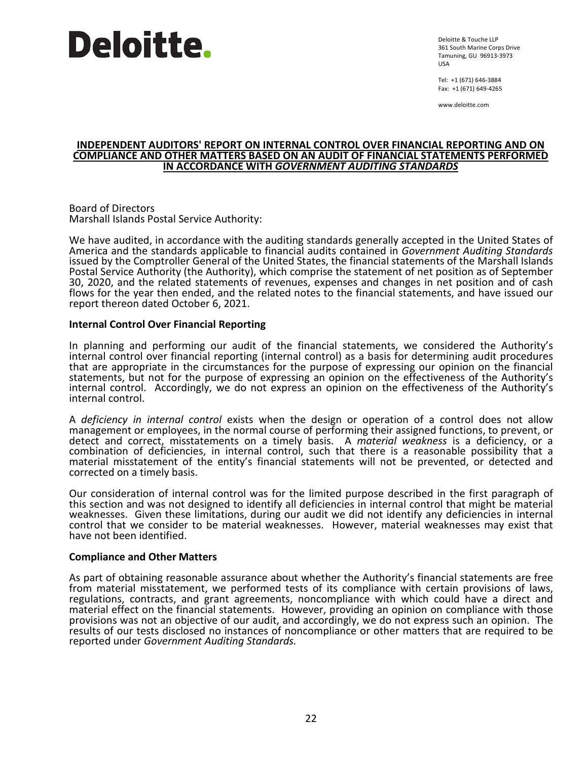

Deloitte & Touche LLP 361 South Marine Corps Drive Tamuning, GU 96913-3973 USA

Tel: +1 (671) 646-3884 Fax: +1 (671) 649-4265

www.deloitte.com

#### **INDEPENDENT AUDITORS' REPORT ON INTERNAL CONTROL OVER FINANCIAL REPORTING AND ON COMPLIANCE AND OTHER MATTERS BASED ON AN AUDIT OF FINANCIAL STATEMENTS PERFORMED IN ACCORDANCE WITH** *GOVERNMENT AUDITING STANDARDS*

Board of Directors Marshall Islands Postal Service Authority:

We have audited, in accordance with the auditing standards generally accepted in the United States of America and the standards applicable to financial audits contained in *Government Auditing Standards* issued by the Comptroller General of the United States, the financial statements of the Marshall Islands Postal Service Authority (the Authority), which comprise the statement of net position as of September 30, 2020, and the related statements of revenues, expenses and changes in net position and of cash flows for the year then ended, and the related notes to the financial statements, and have issued our report thereon dated October 6, 2021.

# **Internal Control Over Financial Reporting**

In planning and performing our audit of the financial statements, we considered the Authority's internal control over financial reporting (internal control) as a basis for determining audit procedures that are appropriate in the circumstances for the purpose of expressing our opinion on the financial statements, but not for the purpose of expressing an opinion on the effectiveness of the Authority's internal control. Accordingly, we do not express an opinion on the effectiveness of the Authority's internal control.

A *deficiency in internal control* exists when the design or operation of a control does not allow management or employees, in the normal course of performing their assigned functions, to prevent, or detect and correct, misstatements on a timely basis. A *material weakness* is a deficiency, or a combination of deficiencies, in internal control, such that there is a reasonable possibility that a material misstatement of the entity's financial statements will not be prevented, or detected and corrected on a timely basis.

Our consideration of internal control was for the limited purpose described in the first paragraph of this section and was not designed to identify all deficiencies in internal control that might be material weaknesses. Given these limitations, during our audit we did not identify any deficiencies in internal control that we consider to be material weaknesses. However, material weaknesses may exist that have not been identified.

#### **Compliance and Other Matters**

As part of obtaining reasonable assurance about whether the Authority's financial statements are free from material misstatement, we performed tests of its compliance with certain provisions of laws, regulations, contracts, and grant agreements, noncompliance with which could have a direct and material effect on the financial statements. However, providing an opinion on compliance with those provisions was not an objective of our audit, and accordingly, we do not express such an opinion. The results of our tests disclosed no instances of noncompliance or other matters that are required to be reported under *Government Auditing Standards.*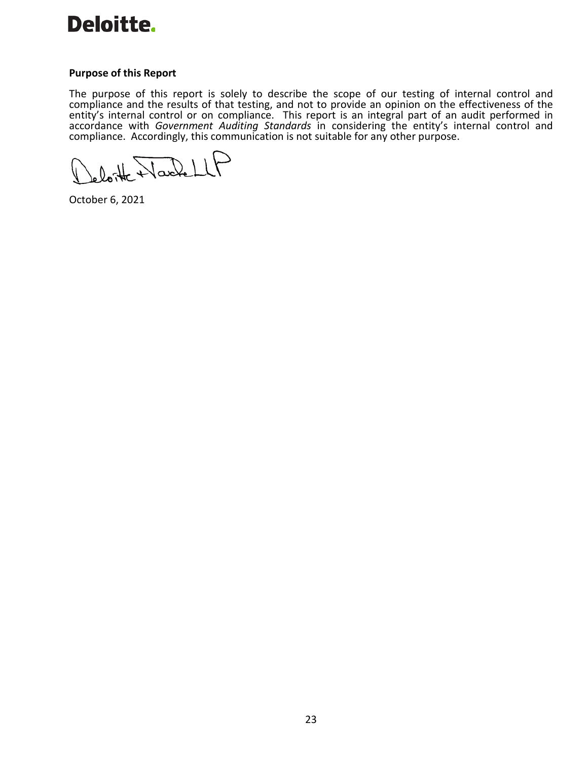

#### **Purpose of this Report**

The purpose of this report is solely to describe the scope of our testing of internal control and compliance and the results of that testing, and not to provide an opinion on the effectiveness of the entity's internal control or on compliance. This report is an integral part of an audit performed in accordance with *Government Auditing Standards* in considering the entity's internal control and compliance. Accordingly, this communication is not suitable for any other purpose.

the Wackell

October 6, 2021